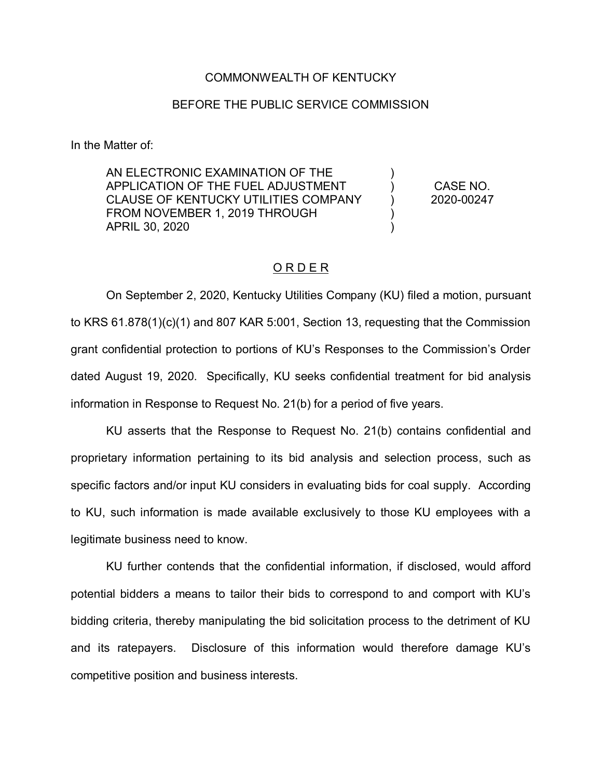## COMMONWEALTH OF KENTUCKY

## BEFORE THE PUBLIC SERVICE COMMISSION

In the Matter of:

AN ELECTRONIC EXAMINATION OF THE APPLICATION OF THE FUEL ADJUSTMENT CLAUSE OF KENTUCKY UTILITIES COMPANY FROM NOVEMBER 1, 2019 THROUGH APRIL 30, 2020

CASE NO. 2020-00247

) ) ) ) )

## ORDER

On September 2, 2020, Kentucky Utilities Company (KU) filed a motion, pursuant to KRS 61.878(1)(c)(1) and 807 KAR 5:001, Section 13, requesting that the Commission grant confidential protection to portions of KU's Responses to the Commission's Order dated August 19, 2020. Specifically, KU seeks confidential treatment for bid analysis information in Response to Request No. 21(b) for a period of five years.

KU asserts that the Response to Request No. 21(b) contains confidential and proprietary information pertaining to its bid analysis and selection process, such as specific factors and/or input KU considers in evaluating bids for coal supply. According to KU, such information is made available exclusively to those KU employees with a legitimate business need to know.

KU further contends that the confidential information, if disclosed, would afford potential bidders a means to tailor their bids to correspond to and comport with KU's bidding criteria, thereby manipulating the bid solicitation process to the detriment of KU and its ratepayers. Disclosure of this information would therefore damage KU's competitive position and business interests.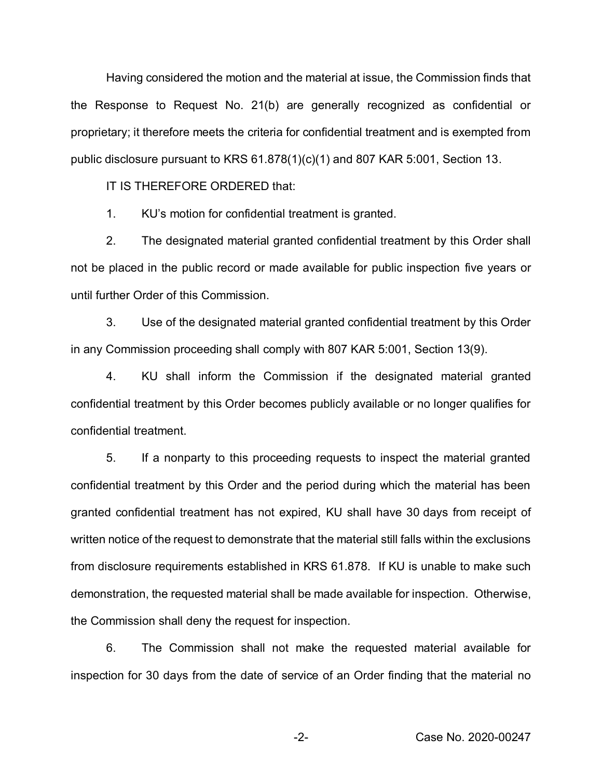Having considered the motion and the material at issue, the Commission finds that the Response to Request No. 21(b) are generally recognized as confidential or proprietary; it therefore meets the criteria for confidential treatment and is exempted from public disclosure pursuant to KRS 61.878(1)(c)(1) and 807 KAR 5:001, Section 13.

IT IS THEREFORE ORDERED that:

1. KU's motion for confidential treatment is granted.

2. The designated material granted confidential treatment by this Order shall not be placed in the public record or made available for public inspection five years or until further Order of this Commission.

3. Use of the designated material granted confidential treatment by this Order in any Commission proceeding shall comply with 807 KAR 5:001, Section 13(9).

4. KU shall inform the Commission if the designated material granted confidential treatment by this Order becomes publicly available or no longer qualifies for confidential treatment.

5. If a nonparty to this proceeding requests to inspect the material granted confidential treatment by this Order and the period during which the material has been granted confidential treatment has not expired, KU shall have 30 days from receipt of written notice of the request to demonstrate that the material still falls within the exclusions from disclosure requirements established in KRS 61.878. If KU is unable to make such demonstration, the requested material shall be made available for inspection. Otherwise, the Commission shall deny the request for inspection.

6. The Commission shall not make the requested material available for inspection for 30 days from the date of service of an Order finding that the material no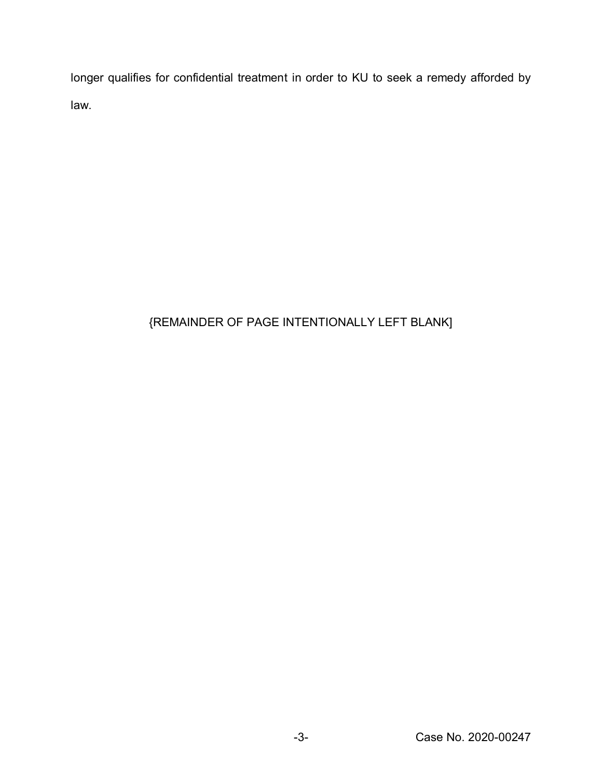longer qualifies for confidential treatment in order to KU to seek a remedy afforded by law.

## {REMAINDER OF PAGE INTENTIONALLY LEFT BLANK]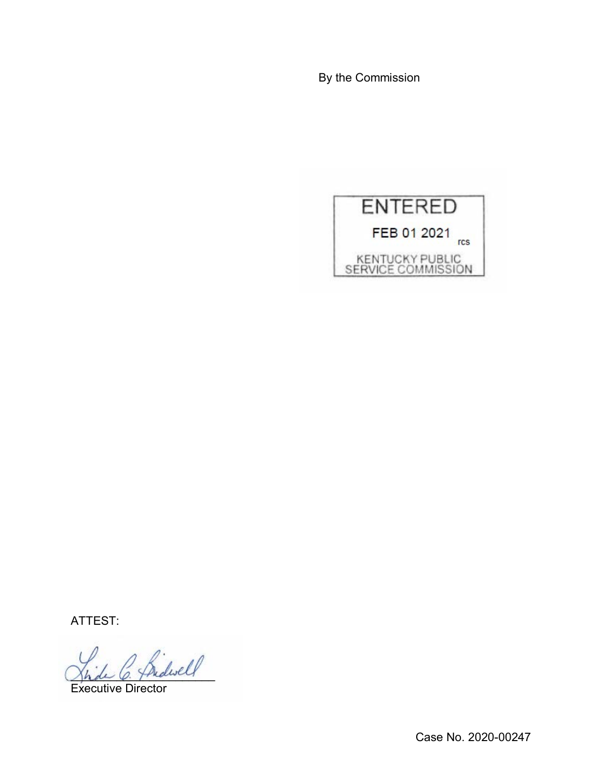By the Commission



ATTEST:

\_\_\_\_\_\_\_\_\_\_\_\_\_\_\_\_\_\_\_\_\_\_

Executive Director

Case No. 2020-00247